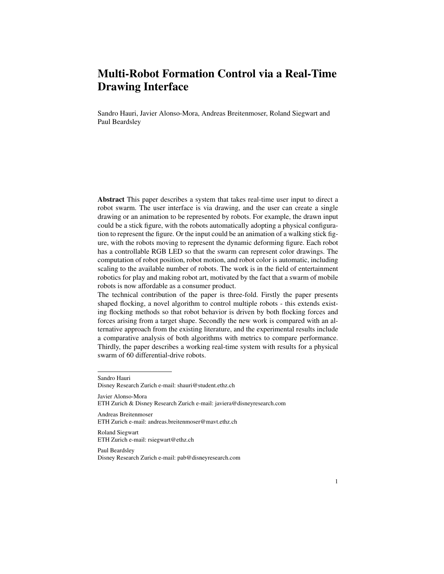# Multi-Robot Formation Control via a Real-Time Drawing Interface

Sandro Hauri, Javier Alonso-Mora, Andreas Breitenmoser, Roland Siegwart and Paul Beardsley

Abstract This paper describes a system that takes real-time user input to direct a robot swarm. The user interface is via drawing, and the user can create a single drawing or an animation to be represented by robots. For example, the drawn input could be a stick figure, with the robots automatically adopting a physical configuration to represent the figure. Or the input could be an animation of a walking stick figure, with the robots moving to represent the dynamic deforming figure. Each robot has a controllable RGB LED so that the swarm can represent color drawings. The computation of robot position, robot motion, and robot color is automatic, including scaling to the available number of robots. The work is in the field of entertainment robotics for play and making robot art, motivated by the fact that a swarm of mobile robots is now affordable as a consumer product.

The technical contribution of the paper is three-fold. Firstly the paper presents shaped flocking, a novel algorithm to control multiple robots - this extends existing flocking methods so that robot behavior is driven by both flocking forces and forces arising from a target shape. Secondly the new work is compared with an alternative approach from the existing literature, and the experimental results include a comparative analysis of both algorithms with metrics to compare performance. Thirdly, the paper describes a working real-time system with results for a physical swarm of 60 differential-drive robots.

Javier Alonso-Mora ETH Zurich & Disney Research Zurich e-mail: javiera@disneyresearch.com

Andreas Breitenmoser ETH Zurich e-mail: andreas.breitenmoser@mavt.ethz.ch

Roland Siegwart ETH Zurich e-mail: rsiegwart@ethz.ch

Paul Beardsley Disney Research Zurich e-mail: pab@disneyresearch.com

Sandro Hauri Disney Research Zurich e-mail: shauri@student.ethz.ch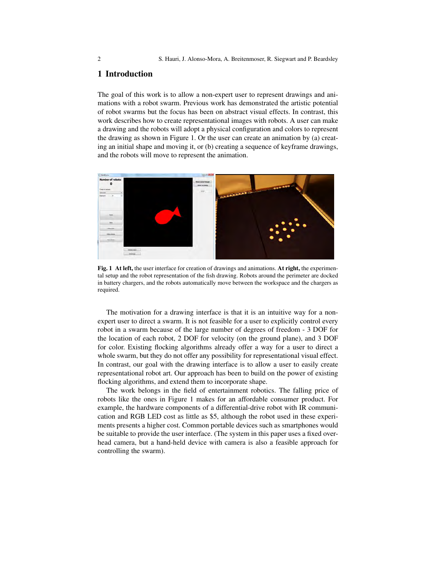## 1 Introduction

The goal of this work is to allow a non-expert user to represent drawings and animations with a robot swarm. Previous work has demonstrated the artistic potential of robot swarms but the focus has been on abstract visual effects. In contrast, this work describes how to create representational images with robots. A user can make a drawing and the robots will adopt a physical configuration and colors to represent the drawing as shown in Figure 1. Or the user can create an animation by (a) creating an initial shape and moving it, or (b) creating a sequence of keyframe drawings, and the robots will move to represent the animation.



Fig. 1 At left, the user interface for creation of drawings and animations. At right, the experimental setup and the robot representation of the fish drawing. Robots around the perimeter are docked in battery chargers, and the robots automatically move between the workspace and the chargers as required.

The motivation for a drawing interface is that it is an intuitive way for a nonexpert user to direct a swarm. It is not feasible for a user to explicitly control every robot in a swarm because of the large number of degrees of freedom - 3 DOF for the location of each robot, 2 DOF for velocity (on the ground plane), and 3 DOF for color. Existing flocking algorithms already offer a way for a user to direct a whole swarm, but they do not offer any possibility for representational visual effect. In contrast, our goal with the drawing interface is to allow a user to easily create representational robot art. Our approach has been to build on the power of existing flocking algorithms, and extend them to incorporate shape.

The work belongs in the field of entertainment robotics. The falling price of robots like the ones in Figure 1 makes for an affordable consumer product. For example, the hardware components of a differential-drive robot with IR communication and RGB LED cost as little as \$5, although the robot used in these experiments presents a higher cost. Common portable devices such as smartphones would be suitable to provide the user interface. (The system in this paper uses a fixed overhead camera, but a hand-held device with camera is also a feasible approach for controlling the swarm).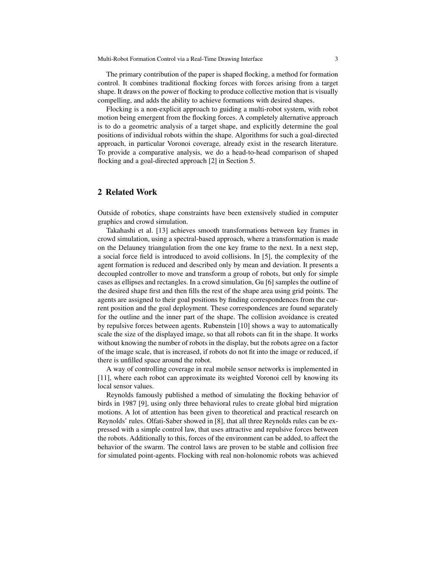The primary contribution of the paper is shaped flocking, a method for formation control. It combines traditional flocking forces with forces arising from a target shape. It draws on the power of flocking to produce collective motion that is visually compelling, and adds the ability to achieve formations with desired shapes.

Flocking is a non-explicit approach to guiding a multi-robot system, with robot motion being emergent from the flocking forces. A completely alternative approach is to do a geometric analysis of a target shape, and explicitly determine the goal positions of individual robots within the shape. Algorithms for such a goal-directed approach, in particular Voronoi coverage, already exist in the research literature. To provide a comparative analysis, we do a head-to-head comparison of shaped flocking and a goal-directed approach [2] in Section 5.

## 2 Related Work

Outside of robotics, shape constraints have been extensively studied in computer graphics and crowd simulation.

Takahashi et al. [13] achieves smooth transformations between key frames in crowd simulation, using a spectral-based approach, where a transformation is made on the Delauney triangulation from the one key frame to the next. In a next step, a social force field is introduced to avoid collisions. In [5], the complexity of the agent formation is reduced and described only by mean and deviation. It presents a decoupled controller to move and transform a group of robots, but only for simple cases as ellipses and rectangles. In a crowd simulation, Gu [6] samples the outline of the desired shape first and then fills the rest of the shape area using grid points. The agents are assigned to their goal positions by finding correspondences from the current position and the goal deployment. These correspondences are found separately for the outline and the inner part of the shape. The collision avoidance is created by repulsive forces between agents. Rubenstein [10] shows a way to automatically scale the size of the displayed image, so that all robots can fit in the shape. It works without knowing the number of robots in the display, but the robots agree on a factor of the image scale, that is increased, if robots do not fit into the image or reduced, if there is unfilled space around the robot.

A way of controlling coverage in real mobile sensor networks is implemented in [11], where each robot can approximate its weighted Voronoi cell by knowing its local sensor values.

Reynolds famously published a method of simulating the flocking behavior of birds in 1987 [9], using only three behavioral rules to create global bird migration motions. A lot of attention has been given to theoretical and practical research on Reynolds' rules. Olfati-Saber showed in [8], that all three Reynolds rules can be expressed with a simple control law, that uses attractive and repulsive forces between the robots. Additionally to this, forces of the environment can be added, to affect the behavior of the swarm. The control laws are proven to be stable and collision free for simulated point-agents. Flocking with real non-holonomic robots was achieved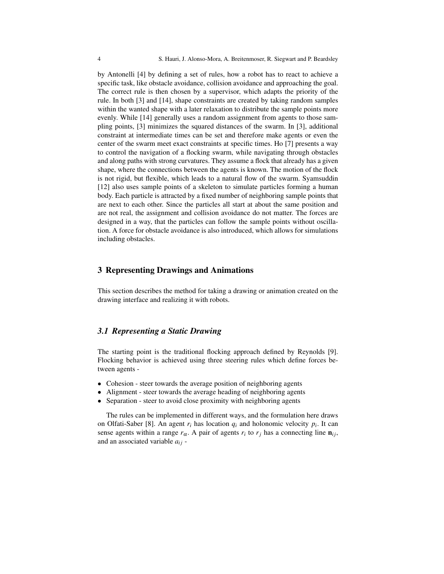by Antonelli [4] by defining a set of rules, how a robot has to react to achieve a specific task, like obstacle avoidance, collision avoidance and approaching the goal. The correct rule is then chosen by a supervisor, which adapts the priority of the rule. In both [3] and [14], shape constraints are created by taking random samples within the wanted shape with a later relaxation to distribute the sample points more evenly. While [14] generally uses a random assignment from agents to those sampling points, [3] minimizes the squared distances of the swarm. In [3], additional constraint at intermediate times can be set and therefore make agents or even the center of the swarm meet exact constraints at specific times. Ho [7] presents a way to control the navigation of a flocking swarm, while navigating through obstacles and along paths with strong curvatures. They assume a flock that already has a given shape, where the connections between the agents is known. The motion of the flock is not rigid, but flexible, which leads to a natural flow of the swarm. Syamsuddin [12] also uses sample points of a skeleton to simulate particles forming a human body. Each particle is attracted by a fixed number of neighboring sample points that are next to each other. Since the particles all start at about the same position and are not real, the assignment and collision avoidance do not matter. The forces are designed in a way, that the particles can follow the sample points without oscillation. A force for obstacle avoidance is also introduced, which allows for simulations including obstacles.

#### 3 Representing Drawings and Animations

This section describes the method for taking a drawing or animation created on the drawing interface and realizing it with robots.

## *3.1 Representing a Static Drawing*

The starting point is the traditional flocking approach defined by Reynolds [9]. Flocking behavior is achieved using three steering rules which define forces between agents -

- Cohesion steer towards the average position of neighboring agents
- Alignment steer towards the average heading of neighboring agents
- Separation steer to avoid close proximity with neighboring agents

The rules can be implemented in different ways, and the formulation here draws on Olfati-Saber [8]. An agent  $r_i$  has location  $q_i$  and holonomic velocity  $p_i$ . It can sense agents within a range  $r_{\alpha}$ . A pair of agents  $r_i$  to  $r_j$  has a connecting line  $\mathbf{n}_{ij}$ , and an associated variable *ai j* -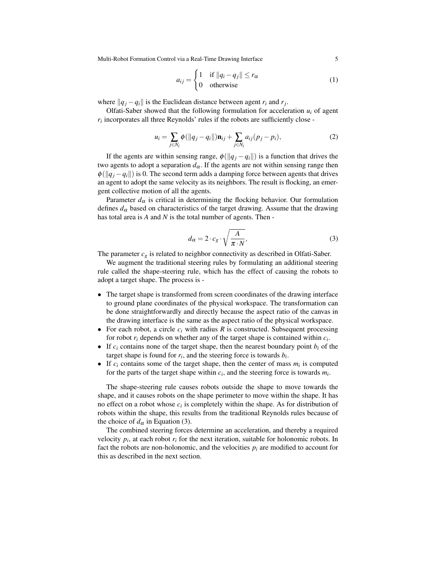Multi-Robot Formation Control via a Real-Time Drawing Interface 5

$$
a_{ij} = \begin{cases} 1 & \text{if } ||q_i - q_j|| \le r_\alpha \\ 0 & \text{otherwise} \end{cases}
$$
 (1)

where  $||q_j - q_i||$  is the Euclidean distance between agent  $r_i$  and  $r_j$ .

Olfati-Saber showed that the following formulation for acceleration  $u_i$  of agent  $r_i$  incorporates all three Reynolds' rules if the robots are sufficiently close -

$$
u_i = \sum_{j \in N_i} \phi(||q_j - q_i||) \mathbf{n}_{ij} + \sum_{j \in N_i} a_{ij} (p_j - p_i),
$$
 (2)

If the agents are within sensing range,  $\phi(||q_j - q_i||)$  is a function that drives the two agents to adopt a separation  $d_{\alpha}$ . If the agents are not within sensing range then  $\phi(||q_i - q_i||)$  is 0. The second term adds a damping force between agents that drives an agent to adopt the same velocity as its neighbors. The result is flocking, an emergent collective motion of all the agents.

Parameter  $d_{\alpha}$  is critical in determining the flocking behavior. Our formulation defines  $d_{\alpha}$  based on characteristics of the target drawing. Assume that the drawing has total area is *A* and *N* is the total number of agents. Then -

$$
d_{\alpha} = 2 \cdot c_g \cdot \sqrt{\frac{A}{\pi \cdot N}},\tag{3}
$$

The parameter  $c_g$  is related to neighbor connectivity as described in Olfati-Saber.

We augment the traditional steering rules by formulating an additional steering rule called the shape-steering rule, which has the effect of causing the robots to adopt a target shape. The process is -

- The target shape is transformed from screen coordinates of the drawing interface to ground plane coordinates of the physical workspace. The transformation can be done straightforwardly and directly because the aspect ratio of the canvas in the drawing interface is the same as the aspect ratio of the physical workspace.
- For each robot, a circle  $c_i$  with radius  $R$  is constructed. Subsequent processing for robot  $r_i$  depends on whether any of the target shape is contained within  $c_i$ .
- If  $c_i$  contains none of the target shape, then the nearest boundary point  $b_i$  of the target shape is found for  $r_i$ , and the steering force is towards  $b_i$ .
- If  $c_i$  contains some of the target shape, then the center of mass  $m_i$  is computed for the parts of the target shape within  $c_i$ , and the steering force is towards  $m_i$ .

The shape-steering rule causes robots outside the shape to move towards the shape, and it causes robots on the shape perimeter to move within the shape. It has no effect on a robot whose  $c_i$  is completely within the shape. As for distribution of robots within the shape, this results from the traditional Reynolds rules because of the choice of  $d_{\alpha}$  in Equation (3).

The combined steering forces determine an acceleration, and thereby a required velocity  $p_i$ , at each robot  $r_i$  for the next iteration, suitable for holonomic robots. In fact the robots are non-holonomic, and the velocities  $p_i$  are modified to account for this as described in the next section.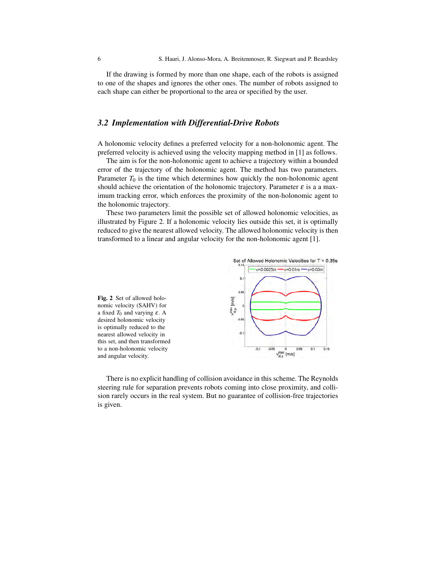If the drawing is formed by more than one shape, each of the robots is assigned to one of the shapes and ignores the other ones. The number of robots assigned to each shape can either be proportional to the area or specified by the user.

## *3.2 Implementation with Differential-Drive Robots*

A holonomic velocity defines a preferred velocity for a non-holonomic agent. The preferred velocity is achieved using the velocity mapping method in [1] as follows.

The aim is for the non-holonomic agent to achieve a trajectory within a bounded error of the trajectory of the holonomic agent. The method has two parameters. Parameter  $T_0$  is the time which determines how quickly the non-holonomic agent should achieve the orientation of the holonomic trajectory. Parameter  $\varepsilon$  is a a maximum tracking error, which enforces the proximity of the non-holonomic agent to the holonomic trajectory.

These two parameters limit the possible set of allowed holonomic velocities, as illustrated by Figure 2. If a holonomic velocity lies outside this set, it is optimally reduced to give the nearest allowed velocity. The allowed holonomic velocity is then transformed to a linear and angular velocity for the non-holonomic agent [1].



There is no explicit handling of collision avoidance in this scheme. The Reynolds steering rule for separation prevents robots coming into close proximity, and collision rarely occurs in the real system. But no guarantee of collision-free trajectories is given.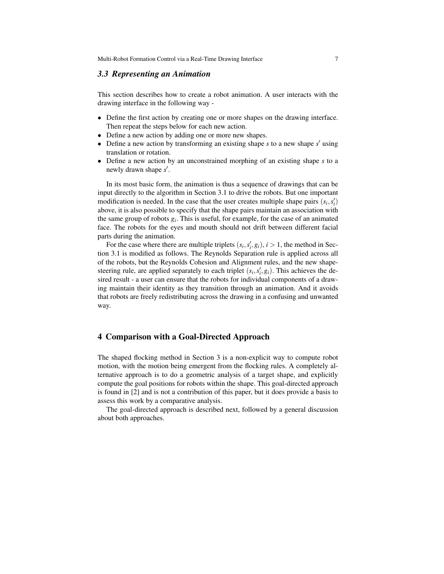Multi-Robot Formation Control via a Real-Time Drawing Interface 7

#### *3.3 Representing an Animation*

This section describes how to create a robot animation. A user interacts with the drawing interface in the following way -

- Define the first action by creating one or more shapes on the drawing interface. Then repeat the steps below for each new action.
- Define a new action by adding one or more new shapes.
- Define a new action by transforming an existing shape  $s$  to a new shape  $s'$  using translation or rotation.
- Define a new action by an unconstrained morphing of an existing shape *s* to a newly drawn shape s'.

In its most basic form, the animation is thus a sequence of drawings that can be input directly to the algorithm in Section 3.1 to drive the robots. But one important modification is needed. In the case that the user creates multiple shape pairs  $(s_i, s'_i)$ above, it is also possible to specify that the shape pairs maintain an association with the same group of robots  $g_i$ . This is useful, for example, for the case of an animated face. The robots for the eyes and mouth should not drift between different facial parts during the animation.

For the case where there are multiple triplets  $(s_i, s'_i, g_i)$ ,  $i > 1$ , the method in Section 3.1 is modified as follows. The Reynolds Separation rule is applied across all of the robots, but the Reynolds Cohesion and Alignment rules, and the new shapesteering rule, are applied separately to each triplet  $(s_i, s'_i, g_i)$ . This achieves the desired result - a user can ensure that the robots for individual components of a drawing maintain their identity as they transition through an animation. And it avoids that robots are freely redistributing across the drawing in a confusing and unwanted way.

### 4 Comparison with a Goal-Directed Approach

The shaped flocking method in Section 3 is a non-explicit way to compute robot motion, with the motion being emergent from the flocking rules. A completely alternative approach is to do a geometric analysis of a target shape, and explicitly compute the goal positions for robots within the shape. This goal-directed approach is found in [2] and is not a contribution of this paper, but it does provide a basis to assess this work by a comparative analysis.

The goal-directed approach is described next, followed by a general discussion about both approaches.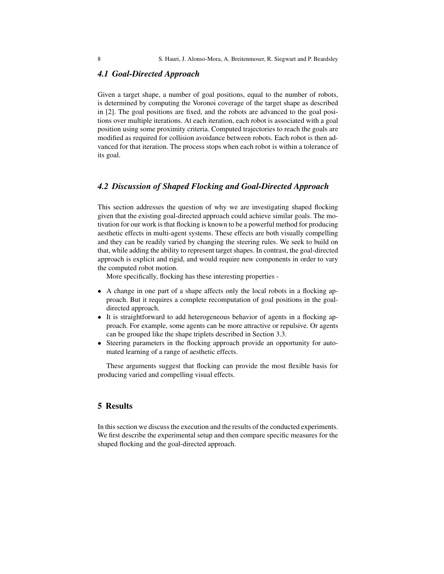#### *4.1 Goal-Directed Approach*

Given a target shape, a number of goal positions, equal to the number of robots, is determined by computing the Voronoi coverage of the target shape as described in [2]. The goal positions are fixed, and the robots are advanced to the goal positions over multiple iterations. At each iteration, each robot is associated with a goal position using some proximity criteria. Computed trajectories to reach the goals are modified as required for collision avoidance between robots. Each robot is then advanced for that iteration. The process stops when each robot is within a tolerance of its goal.

## *4.2 Discussion of Shaped Flocking and Goal-Directed Approach*

This section addresses the question of why we are investigating shaped flocking given that the existing goal-directed approach could achieve similar goals. The motivation for our work is that flocking is known to be a powerful method for producing aesthetic effects in multi-agent systems. These effects are both visually compelling and they can be readily varied by changing the steering rules. We seek to build on that, while adding the ability to represent target shapes. In contrast, the goal-directed approach is explicit and rigid, and would require new components in order to vary the computed robot motion.

More specifically, flocking has these interesting properties -

- A change in one part of a shape affects only the local robots in a flocking approach. But it requires a complete recomputation of goal positions in the goaldirected approach.
- It is straightforward to add heterogeneous behavior of agents in a flocking approach. For example, some agents can be more attractive or repulsive. Or agents can be grouped like the shape triplets described in Section 3.3.
- Steering parameters in the flocking approach provide an opportunity for automated learning of a range of aesthetic effects.

These arguments suggest that flocking can provide the most flexible basis for producing varied and compelling visual effects.

# 5 Results

In this section we discuss the execution and the results of the conducted experiments. We first describe the experimental setup and then compare specific measures for the shaped flocking and the goal-directed approach.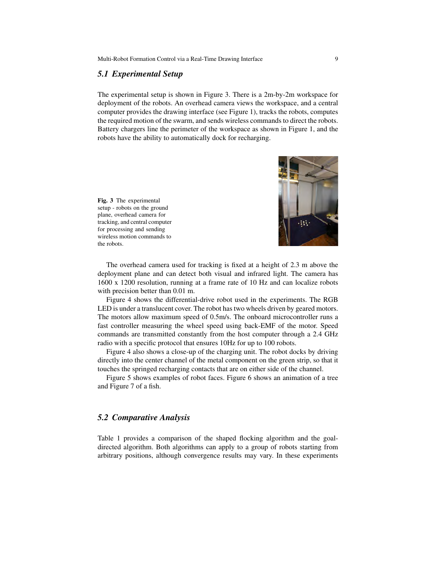#### *5.1 Experimental Setup*

The experimental setup is shown in Figure 3. There is a 2m-by-2m workspace for deployment of the robots. An overhead camera views the workspace, and a central computer provides the drawing interface (see Figure 1), tracks the robots, computes the required motion of the swarm, and sends wireless commands to direct the robots. Battery chargers line the perimeter of the workspace as shown in Figure 1, and the robots have the ability to automatically dock for recharging.

Fig. 3 The experimental setup - robots on the ground plane, overhead camera for tracking, and central computer for processing and sending wireless motion commands to the robots.



The overhead camera used for tracking is fixed at a height of 2.3 m above the deployment plane and can detect both visual and infrared light. The camera has 1600 x 1200 resolution, running at a frame rate of 10 Hz and can localize robots with precision better than 0.01 m.

Figure 4 shows the differential-drive robot used in the experiments. The RGB LED is under a translucent cover. The robot has two wheels driven by geared motors. The motors allow maximum speed of 0.5m/s. The onboard microcontroller runs a fast controller measuring the wheel speed using back-EMF of the motor. Speed commands are transmitted constantly from the host computer through a 2.4 GHz radio with a specific protocol that ensures 10Hz for up to 100 robots.

Figure 4 also shows a close-up of the charging unit. The robot docks by driving directly into the center channel of the metal component on the green strip, so that it touches the springed recharging contacts that are on either side of the channel.

Figure 5 shows examples of robot faces. Figure 6 shows an animation of a tree and Figure 7 of a fish.

# *5.2 Comparative Analysis*

Table 1 provides a comparison of the shaped flocking algorithm and the goaldirected algorithm. Both algorithms can apply to a group of robots starting from arbitrary positions, although convergence results may vary. In these experiments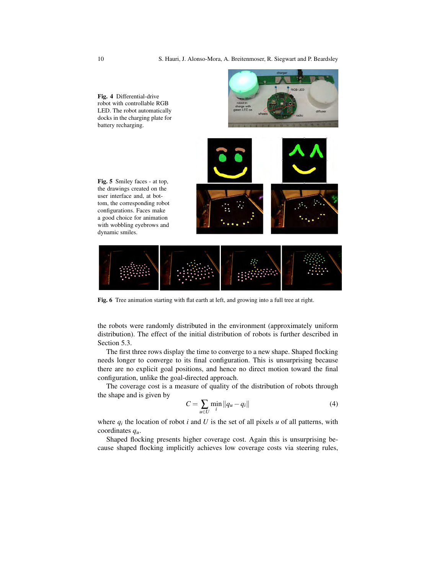

Fig. 6 Tree animation starting with flat earth at left, and growing into a full tree at right.

the robots were randomly distributed in the environment (approximately uniform distribution). The effect of the initial distribution of robots is further described in Section 5.3.

The first three rows display the time to converge to a new shape. Shaped flocking needs longer to converge to its final configuration. This is unsurprising because there are no explicit goal positions, and hence no direct motion toward the final configuration, unlike the goal-directed approach.

The coverage cost is a measure of quality of the distribution of robots through the shape and is given by

$$
C = \sum_{u \in U} \min_{i} \|q_u - q_i\|
$$
 (4)

where  $q_i$  the location of robot *i* and *U* is the set of all pixels *u* of all patterns, with coordinates *qu*.

Shaped flocking presents higher coverage cost. Again this is unsurprising because shaped flocking implicitly achieves low coverage costs via steering rules,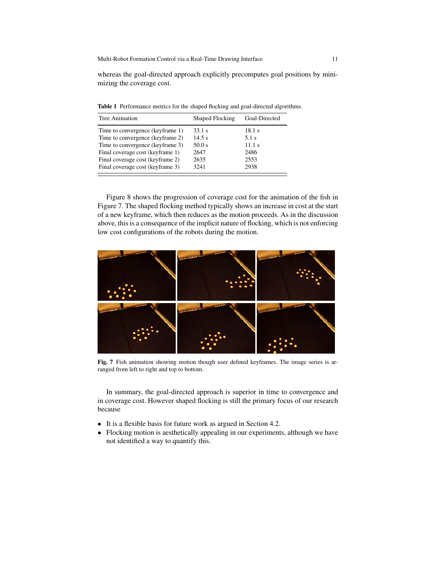whereas the goal-directed approach explicitly precomputes goal positions by minimizing the coverage cost.

| 18.1 s  |
|---------|
| $5.1$ s |
| 11.1s   |
| 2486    |
| 2553    |
| 2938    |
|         |

Table 1 Performance metrics for the shaped flocking and goal-directed algorithms.

Figure 8 shows the progression of coverage cost for the animation of the fish in Figure 7. The shaped flocking method typically shows an increase in cost at the start of a new keyframe, which then reduces as the motion proceeds. As in the discussion above, this is a consequence of the implicit nature of flocking, which is not enforcing low cost configurations of the robots during the motion.



Fig. 7 Fish animation showing motion though user defined keyframes. The image series is arranged from left to right and top to bottom.

In summary, the goal-directed approach is superior in time to convergence and in coverage cost. However shaped flocking is still the primary focus of our research because

- It is a flexible basis for future work as argued in Section 4.2.
- Flocking motion is aesthetically appealing in our experiments, although we have not identified a way to quantify this.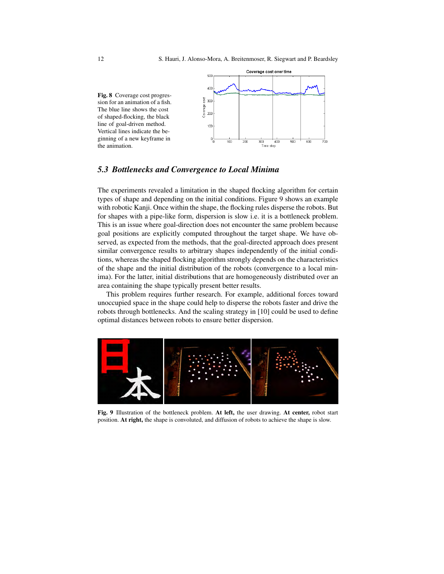

## *5.3 Bottlenecks and Convergence to Local Minima*

The experiments revealed a limitation in the shaped flocking algorithm for certain types of shape and depending on the initial conditions. Figure 9 shows an example with robotic Kanji. Once within the shape, the flocking rules disperse the robots. But for shapes with a pipe-like form, dispersion is slow i.e. it is a bottleneck problem. This is an issue where goal-direction does not encounter the same problem because goal positions are explicitly computed throughout the target shape. We have observed, as expected from the methods, that the goal-directed approach does present similar convergence results to arbitrary shapes independently of the initial conditions, whereas the shaped flocking algorithm strongly depends on the characteristics of the shape and the initial distribution of the robots (convergence to a local minima). For the latter, initial distributions that are homogeneously distributed over an area containing the shape typically present better results.

This problem requires further research. For example, additional forces toward unoccupied space in the shape could help to disperse the robots faster and drive the robots through bottlenecks. And the scaling strategy in [10] could be used to define optimal distances between robots to ensure better dispersion.



Fig. 9 Illustration of the bottleneck problem. At left, the user drawing. At center, robot start position. At right, the shape is convoluted, and diffusion of robots to achieve the shape is slow.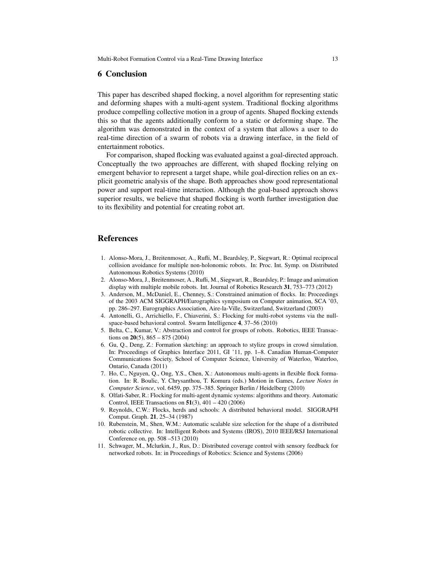#### 6 Conclusion

This paper has described shaped flocking, a novel algorithm for representing static and deforming shapes with a multi-agent system. Traditional flocking algorithms produce compelling collective motion in a group of agents. Shaped flocking extends this so that the agents additionally conform to a static or deforming shape. The algorithm was demonstrated in the context of a system that allows a user to do real-time direction of a swarm of robots via a drawing interface, in the field of entertainment robotics.

For comparison, shaped flocking was evaluated against a goal-directed approach. Conceptually the two approaches are different, with shaped flocking relying on emergent behavior to represent a target shape, while goal-direction relies on an explicit geometric analysis of the shape. Both approaches show good representational power and support real-time interaction. Although the goal-based approach shows superior results, we believe that shaped flocking is worth further investigation due to its flexibility and potential for creating robot art.

## References

- 1. Alonso-Mora, J., Breitenmoser, A., Rufli, M., Beardsley, P., Siegwart, R.: Optimal reciprocal collision avoidance for multiple non-holonomic robots. In: Proc. Int. Symp. on Distributed Autonomous Robotics Systems (2010)
- 2. Alonso-Mora, J., Breitenmoser, A., Rufli, M., Siegwart, R., Beardsley, P.: Image and animation display with multiple mobile robots. Int. Journal of Robotics Research 31, 753–773 (2012)
- 3. Anderson, M., McDaniel, E., Chenney, S.: Constrained animation of flocks. In: Proceedings of the 2003 ACM SIGGRAPH/Eurographics symposium on Computer animation, SCA '03, pp. 286–297. Eurographics Association, Aire-la-Ville, Switzerland, Switzerland (2003)
- 4. Antonelli, G., Arrichiello, F., Chiaverini, S.: Flocking for multi-robot systems via the nullspace-based behavioral control. Swarm Intelligence 4, 37–56 (2010)
- 5. Belta, C., Kumar, V.: Abstraction and control for groups of robots. Robotics, IEEE Transactions on  $20(5)$ ,  $865 - 875(2004)$
- 6. Gu, Q., Deng, Z.: Formation sketching: an approach to stylize groups in crowd simulation. In: Proceedings of Graphics Interface 2011, GI '11, pp. 1–8. Canadian Human-Computer Communications Society, School of Computer Science, University of Waterloo, Waterloo, Ontario, Canada (2011)
- 7. Ho, C., Nguyen, Q., Ong, Y.S., Chen, X.: Autonomous multi-agents in flexible flock formation. In: R. Boulic, Y. Chrysanthou, T. Komura (eds.) Motion in Games, *Lecture Notes in Computer Science*, vol. 6459, pp. 375–385. Springer Berlin / Heidelberg (2010)
- 8. Olfati-Saber, R.: Flocking for multi-agent dynamic systems: algorithms and theory. Automatic Control, IEEE Transactions on 51(3), 401 – 420 (2006)
- 9. Reynolds, C.W.: Flocks, herds and schools: A distributed behavioral model. SIGGRAPH Comput. Graph. 21, 25–34 (1987)
- 10. Rubenstein, M., Shen, W.M.: Automatic scalable size selection for the shape of a distributed robotic collective. In: Intelligent Robots and Systems (IROS), 2010 IEEE/RSJ International Conference on, pp. 508 –513 (2010)
- 11. Schwager, M., Mclurkin, J., Rus, D.: Distributed coverage control with sensory feedback for networked robots. In: in Proceedings of Robotics: Science and Systems (2006)